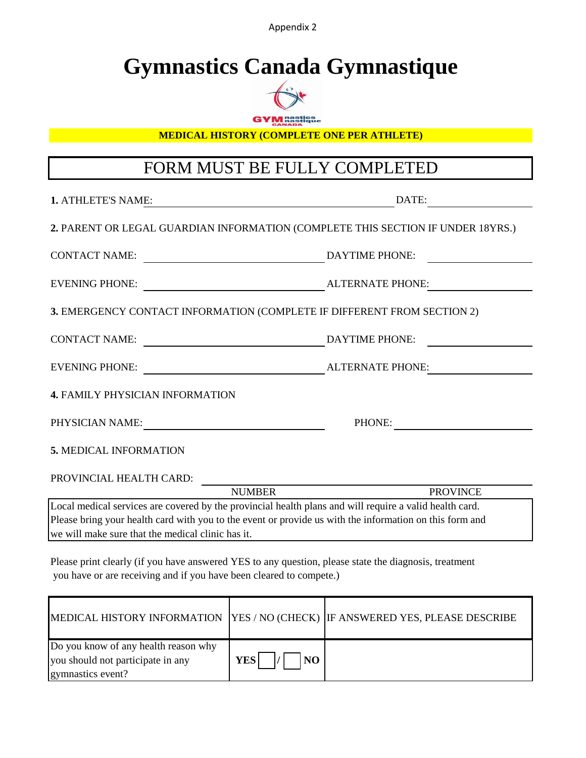Appendix 2

# **Gymnastics Canada Gymnastique**



**GYM** nastics

**MEDICAL HISTORY (COMPLETE ONE PER ATHLETE)**

# FORM MUST BE FULLY COMPLETED

| <b>1. ATHLETE'S NAME:</b>                                                                               |                | DATE:                 |  |  |
|---------------------------------------------------------------------------------------------------------|----------------|-----------------------|--|--|
| 2. PARENT OR LEGAL GUARDIAN INFORMATION (COMPLETE THIS SECTION IF UNDER 18YRS.)                         |                |                       |  |  |
| <b>CONTACT NAME:</b>                                                                                    | DAYTIME PHONE: |                       |  |  |
| <b>EVENING PHONE:</b>                                                                                   |                | ALTERNATE PHONE:      |  |  |
| 3. EMERGENCY CONTACT INFORMATION (COMPLETE IF DIFFERENT FROM SECTION 2)                                 |                |                       |  |  |
| CONTACT NAME:                                                                                           |                | <b>DAYTIME PHONE:</b> |  |  |
| <b>EVENING PHONE:</b>                                                                                   |                | ALTERNATE PHONE:      |  |  |
| <b>4. FAMILY PHYSICIAN INFORMATION</b>                                                                  |                |                       |  |  |
| PHYSICIAN NAME:                                                                                         |                | PHONE:                |  |  |
| 5. MEDICAL INFORMATION                                                                                  |                |                       |  |  |
| PROVINCIAL HEALTH CARD:                                                                                 |                |                       |  |  |
|                                                                                                         | <b>NUMBER</b>  | <b>PROVINCE</b>       |  |  |
| Local medical services are covered by the provincial health plans and will require a valid health card. |                |                       |  |  |
| Please bring your health card with you to the event or provide us with the information on this form and |                |                       |  |  |
| we will make sure that the medical clinic has it.                                                       |                |                       |  |  |

Please print clearly (if you have answered YES to any question, please state the diagnosis, treatment you have or are receiving and if you have been cleared to compete.)

|                                                                                                |                   | MEDICAL HISTORY INFORMATION   YES / NO (CHECK)   IF ANSWERED YES, PLEASE DESCRIBE |
|------------------------------------------------------------------------------------------------|-------------------|-----------------------------------------------------------------------------------|
| Do you know of any health reason why<br>you should not participate in any<br>gymnastics event? | YES <br><b>NO</b> |                                                                                   |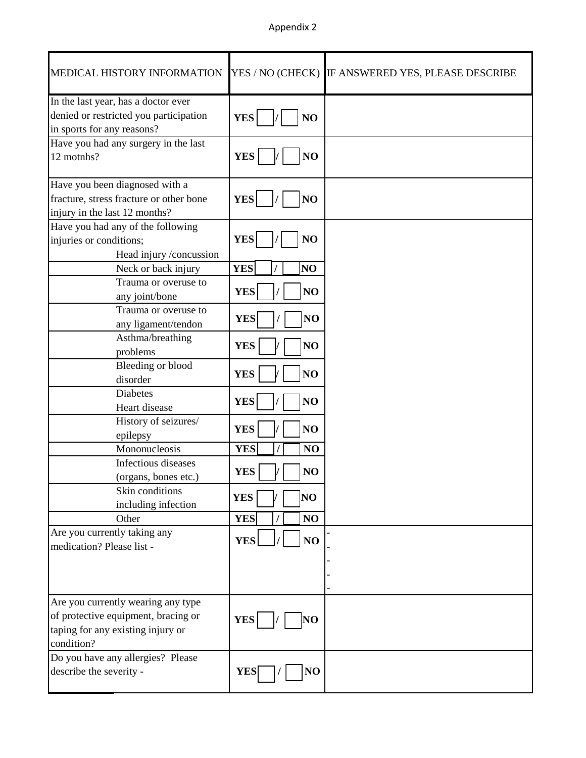## Appendix 2

| MEDICAL HISTORY INFORMATION                                                                                 | YES / NO (CHECK)              | IF ANSWERED YES, PLEASE DESCRIBE |
|-------------------------------------------------------------------------------------------------------------|-------------------------------|----------------------------------|
| In the last year, has a doctor ever<br>denied or restricted you participation<br>in sports for any reasons? | <b>YES</b><br>NO              |                                  |
| Have you had any surgery in the last<br>12 motnhs?                                                          | <b>YES</b><br>NO              |                                  |
| Have you been diagnosed with a                                                                              |                               |                                  |
| fracture, stress fracture or other bone                                                                     | <b>YES</b><br>NO              |                                  |
| injury in the last 12 months?                                                                               |                               |                                  |
| Have you had any of the following                                                                           |                               |                                  |
| injuries or conditions;                                                                                     | <b>YES</b><br>NO              |                                  |
| Head injury /concussion                                                                                     |                               |                                  |
| Neck or back injury                                                                                         | <b>YES</b><br>NO <sub>1</sub> |                                  |
| Trauma or overuse to                                                                                        | NO<br><b>YES</b>              |                                  |
| any joint/bone                                                                                              |                               |                                  |
| Trauma or overuse to                                                                                        | <b>YES</b><br>NO              |                                  |
| any ligament/tendon<br>Asthma/breathing                                                                     |                               |                                  |
| problems                                                                                                    | <b>YES</b><br>NO              |                                  |
| Bleeding or blood                                                                                           |                               |                                  |
| disorder                                                                                                    | <b>YES</b><br>NO              |                                  |
| <b>Diabetes</b>                                                                                             |                               |                                  |
| Heart disease                                                                                               | <b>YES</b><br>NO              |                                  |
| History of seizures/                                                                                        |                               |                                  |
| epilepsy                                                                                                    | <b>YES</b><br>NO              |                                  |
| Mononucleosis                                                                                               | <b>YES</b><br>NO              |                                  |
| Infectious diseases                                                                                         |                               |                                  |
| (organs, bones etc.)                                                                                        | <b>YES</b><br>NO              |                                  |
| Skin conditions                                                                                             | NO<br><b>YES</b>              |                                  |
| including infection                                                                                         |                               |                                  |
| Other                                                                                                       | <b>YES</b><br>NO              |                                  |
| Are you currently taking any<br>medication? Please list -                                                   | <b>YES</b><br>NO              |                                  |
|                                                                                                             |                               |                                  |
|                                                                                                             |                               |                                  |
| Are you currently wearing any type                                                                          |                               |                                  |
| of protective equipment, bracing or                                                                         | <b>YES</b><br>NO              |                                  |
| taping for any existing injury or                                                                           |                               |                                  |
| condition?                                                                                                  |                               |                                  |
| Do you have any allergies? Please                                                                           |                               |                                  |
| describe the severity -                                                                                     | NO<br><b>YES</b>              |                                  |
|                                                                                                             |                               |                                  |